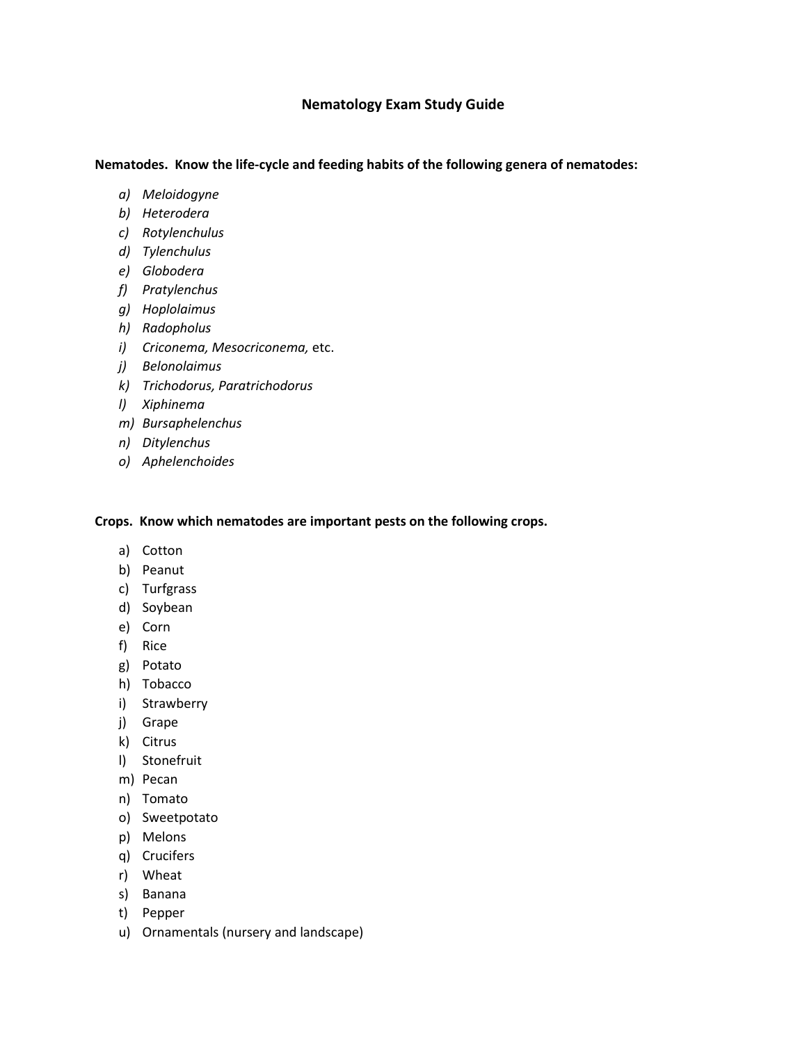## **Nematology Exam Study Guide**

## **Nematodes. Know the life-cycle and feeding habits of the following genera of nematodes:**

- *a) Meloidogyne*
- *b) Heterodera*
- *c) Rotylenchulus*
- *d) Tylenchulus*
- *e) Globodera*
- *f) Pratylenchus*
- *g) Hoplolaimus*
- *h) Radopholus*
- *i) Criconema, Mesocriconema,* etc.
- *j) Belonolaimus*
- *k) Trichodorus, Paratrichodorus*
- *l) Xiphinema*
- *m) Bursaphelenchus*
- *n) Ditylenchus*
- *o) Aphelenchoides*

**Crops. Know which nematodes are important pests on the following crops.**

- a) Cotton
- b) Peanut
- c) Turfgrass
- d) Soybean
- e) Corn
- f) Rice
- g) Potato
- h) Tobacco
- i) Strawberry
- j) Grape
- k) Citrus
- l) Stonefruit
- m) Pecan
- n) Tomato
- o) Sweetpotato
- p) Melons
- q) Crucifers
- r) Wheat
- s) Banana
- t) Pepper
- u) Ornamentals (nursery and landscape)